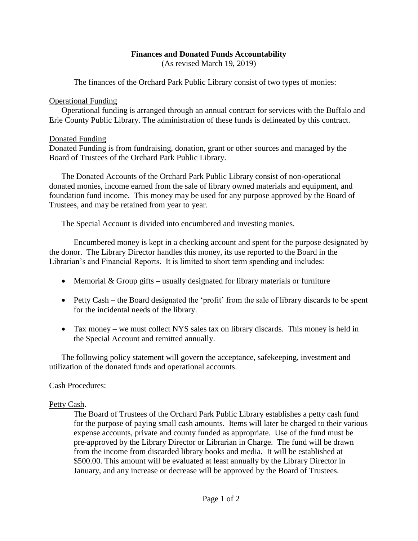# **Finances and Donated Funds Accountability**

(As revised March 19, 2019)

The finances of the Orchard Park Public Library consist of two types of monies:

#### Operational Funding

Operational funding is arranged through an annual contract for services with the Buffalo and Erie County Public Library. The administration of these funds is delineated by this contract.

#### Donated Funding

Donated Funding is from fundraising, donation, grant or other sources and managed by the Board of Trustees of the Orchard Park Public Library.

The Donated Accounts of the Orchard Park Public Library consist of non-operational donated monies, income earned from the sale of library owned materials and equipment, and foundation fund income. This money may be used for any purpose approved by the Board of Trustees, and may be retained from year to year.

The Special Account is divided into encumbered and investing monies.

Encumbered money is kept in a checking account and spent for the purpose designated by the donor. The Library Director handles this money, its use reported to the Board in the Librarian's and Financial Reports. It is limited to short term spending and includes:

- Memorial  $&$  Group gifts usually designated for library materials or furniture
- Petty Cash the Board designated the 'profit' from the sale of library discards to be spent for the incidental needs of the library.
- Tax money we must collect NYS sales tax on library discards. This money is held in the Special Account and remitted annually.

The following policy statement will govern the acceptance, safekeeping, investment and utilization of the donated funds and operational accounts.

# Cash Procedures:

# Petty Cash.

The Board of Trustees of the Orchard Park Public Library establishes a petty cash fund for the purpose of paying small cash amounts. Items will later be charged to their various expense accounts, private and county funded as appropriate. Use of the fund must be pre-approved by the Library Director or Librarian in Charge. The fund will be drawn from the income from discarded library books and media. It will be established at \$500.00. This amount will be evaluated at least annually by the Library Director in January, and any increase or decrease will be approved by the Board of Trustees.